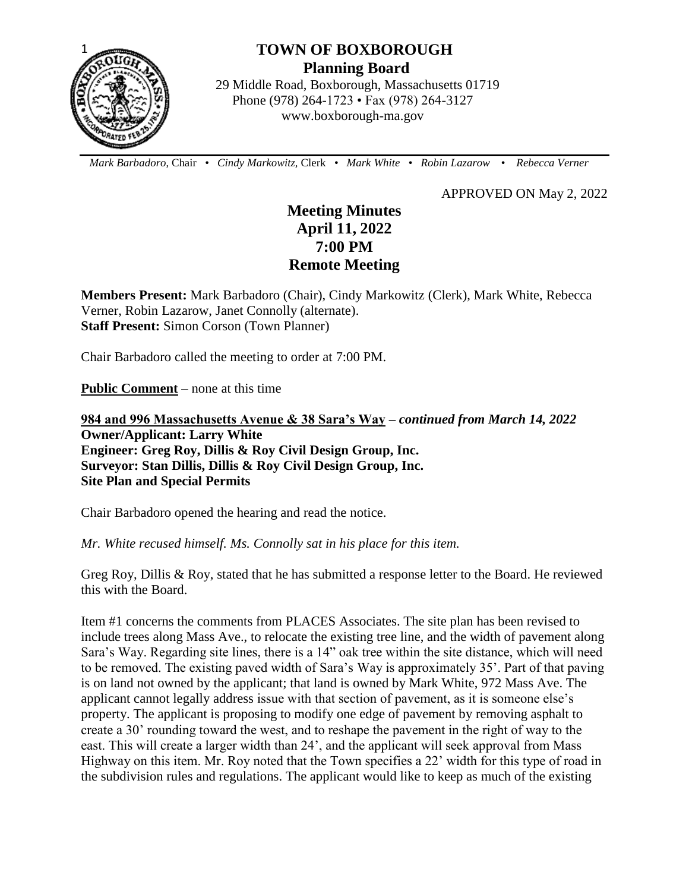

# **TOWN OF BOXBOROUGH Planning Board**

 29 Middle Road, Boxborough, Massachusetts 01719 Phone (978) 264-1723 • Fax (978) 264-3127 www.boxborough-ma.gov

 *Mark Barbadoro*, Chair • *Cindy Markowitz,* Clerk • *Mark White* • *Robin Lazarow* • *Rebecca Verner*

APPROVED ON May 2, 2022

## **Meeting Minutes April 11, 2022 7:00 PM Remote Meeting**

**Members Present:** Mark Barbadoro (Chair), Cindy Markowitz (Clerk), Mark White, Rebecca Verner, Robin Lazarow, Janet Connolly (alternate). **Staff Present:** Simon Corson (Town Planner)

Chair Barbadoro called the meeting to order at 7:00 PM.

**Public Comment** – none at this time

**984 and 996 Massachusetts Avenue & 38 Sara's Way –** *continued from March 14, 2022*  **Owner/Applicant: Larry White Engineer: Greg Roy, Dillis & Roy Civil Design Group, Inc. Surveyor: Stan Dillis, Dillis & Roy Civil Design Group, Inc. Site Plan and Special Permits** 

Chair Barbadoro opened the hearing and read the notice.

*Mr. White recused himself. Ms. Connolly sat in his place for this item.*

Greg Roy, Dillis & Roy, stated that he has submitted a response letter to the Board. He reviewed this with the Board.

Item #1 concerns the comments from PLACES Associates. The site plan has been revised to include trees along Mass Ave., to relocate the existing tree line, and the width of pavement along Sara's Way. Regarding site lines, there is a 14" oak tree within the site distance, which will need to be removed. The existing paved width of Sara's Way is approximately 35'. Part of that paving is on land not owned by the applicant; that land is owned by Mark White, 972 Mass Ave. The applicant cannot legally address issue with that section of pavement, as it is someone else's property. The applicant is proposing to modify one edge of pavement by removing asphalt to create a 30' rounding toward the west, and to reshape the pavement in the right of way to the east. This will create a larger width than 24', and the applicant will seek approval from Mass Highway on this item. Mr. Roy noted that the Town specifies a 22' width for this type of road in the subdivision rules and regulations. The applicant would like to keep as much of the existing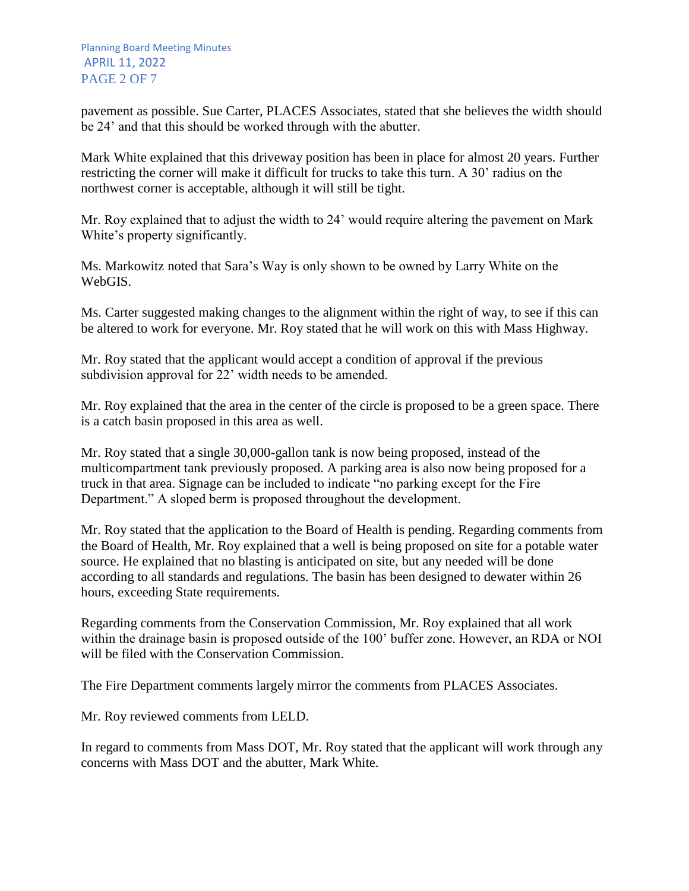pavement as possible. Sue Carter, PLACES Associates, stated that she believes the width should be 24' and that this should be worked through with the abutter.

Mark White explained that this driveway position has been in place for almost 20 years. Further restricting the corner will make it difficult for trucks to take this turn. A 30' radius on the northwest corner is acceptable, although it will still be tight.

Mr. Roy explained that to adjust the width to 24' would require altering the pavement on Mark White's property significantly.

Ms. Markowitz noted that Sara's Way is only shown to be owned by Larry White on the WebGIS.

Ms. Carter suggested making changes to the alignment within the right of way, to see if this can be altered to work for everyone. Mr. Roy stated that he will work on this with Mass Highway.

Mr. Roy stated that the applicant would accept a condition of approval if the previous subdivision approval for 22' width needs to be amended.

Mr. Roy explained that the area in the center of the circle is proposed to be a green space. There is a catch basin proposed in this area as well.

Mr. Roy stated that a single 30,000-gallon tank is now being proposed, instead of the multicompartment tank previously proposed. A parking area is also now being proposed for a truck in that area. Signage can be included to indicate "no parking except for the Fire Department." A sloped berm is proposed throughout the development.

Mr. Roy stated that the application to the Board of Health is pending. Regarding comments from the Board of Health, Mr. Roy explained that a well is being proposed on site for a potable water source. He explained that no blasting is anticipated on site, but any needed will be done according to all standards and regulations. The basin has been designed to dewater within 26 hours, exceeding State requirements.

Regarding comments from the Conservation Commission, Mr. Roy explained that all work within the drainage basin is proposed outside of the 100' buffer zone. However, an RDA or NOI will be filed with the Conservation Commission.

The Fire Department comments largely mirror the comments from PLACES Associates.

Mr. Roy reviewed comments from LELD.

In regard to comments from Mass DOT, Mr. Roy stated that the applicant will work through any concerns with Mass DOT and the abutter, Mark White.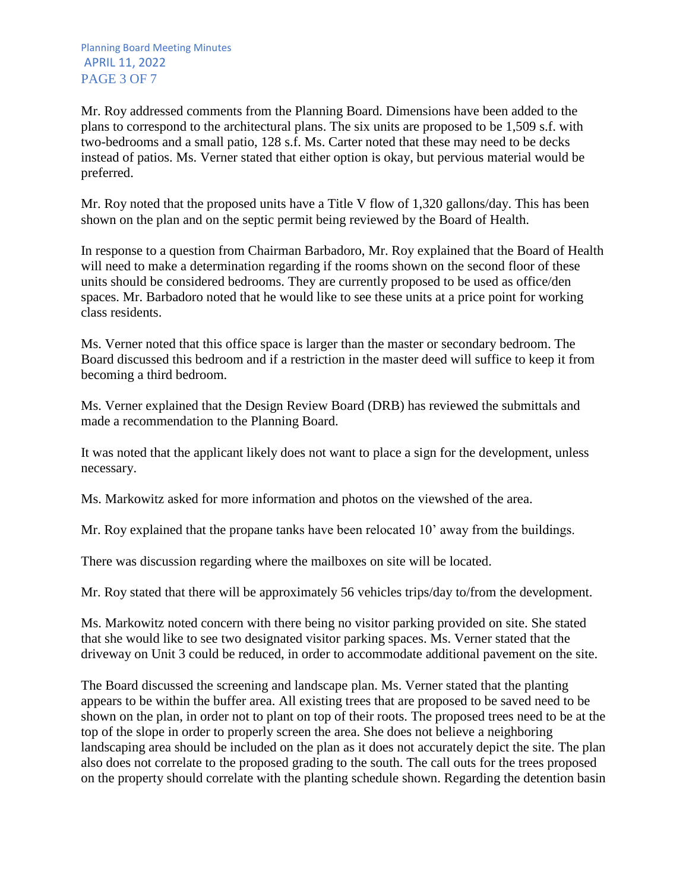Mr. Roy addressed comments from the Planning Board. Dimensions have been added to the plans to correspond to the architectural plans. The six units are proposed to be 1,509 s.f. with two-bedrooms and a small patio, 128 s.f. Ms. Carter noted that these may need to be decks instead of patios. Ms. Verner stated that either option is okay, but pervious material would be preferred.

Mr. Roy noted that the proposed units have a Title V flow of 1,320 gallons/day. This has been shown on the plan and on the septic permit being reviewed by the Board of Health.

In response to a question from Chairman Barbadoro, Mr. Roy explained that the Board of Health will need to make a determination regarding if the rooms shown on the second floor of these units should be considered bedrooms. They are currently proposed to be used as office/den spaces. Mr. Barbadoro noted that he would like to see these units at a price point for working class residents.

Ms. Verner noted that this office space is larger than the master or secondary bedroom. The Board discussed this bedroom and if a restriction in the master deed will suffice to keep it from becoming a third bedroom.

Ms. Verner explained that the Design Review Board (DRB) has reviewed the submittals and made a recommendation to the Planning Board.

It was noted that the applicant likely does not want to place a sign for the development, unless necessary.

Ms. Markowitz asked for more information and photos on the viewshed of the area.

Mr. Roy explained that the propane tanks have been relocated 10' away from the buildings.

There was discussion regarding where the mailboxes on site will be located.

Mr. Roy stated that there will be approximately 56 vehicles trips/day to/from the development.

Ms. Markowitz noted concern with there being no visitor parking provided on site. She stated that she would like to see two designated visitor parking spaces. Ms. Verner stated that the driveway on Unit 3 could be reduced, in order to accommodate additional pavement on the site.

The Board discussed the screening and landscape plan. Ms. Verner stated that the planting appears to be within the buffer area. All existing trees that are proposed to be saved need to be shown on the plan, in order not to plant on top of their roots. The proposed trees need to be at the top of the slope in order to properly screen the area. She does not believe a neighboring landscaping area should be included on the plan as it does not accurately depict the site. The plan also does not correlate to the proposed grading to the south. The call outs for the trees proposed on the property should correlate with the planting schedule shown. Regarding the detention basin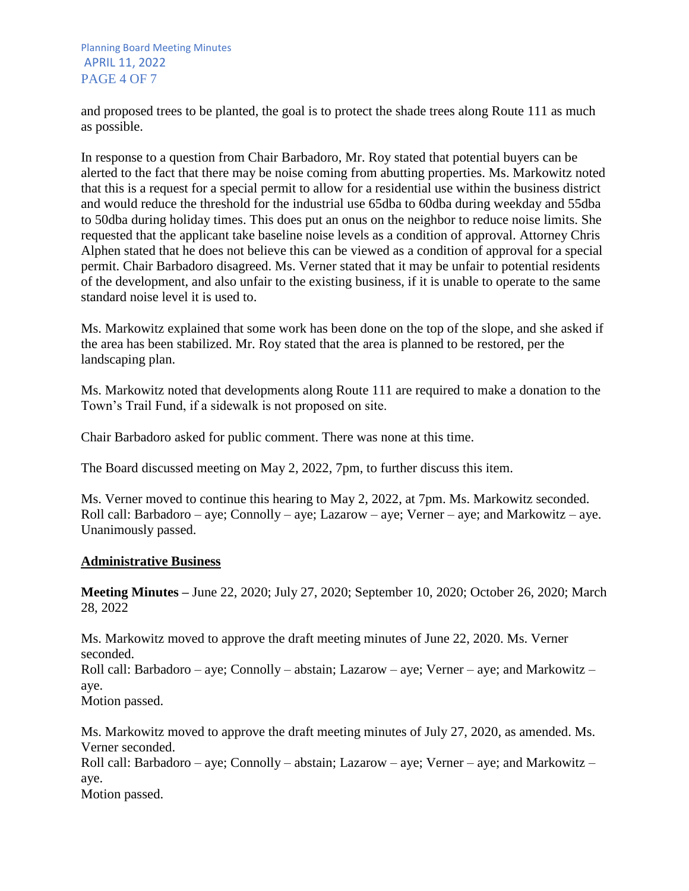Planning Board Meeting Minutes APRIL 11, 2022 PAGE 4 OF 7

and proposed trees to be planted, the goal is to protect the shade trees along Route 111 as much as possible.

In response to a question from Chair Barbadoro, Mr. Roy stated that potential buyers can be alerted to the fact that there may be noise coming from abutting properties. Ms. Markowitz noted that this is a request for a special permit to allow for a residential use within the business district and would reduce the threshold for the industrial use 65dba to 60dba during weekday and 55dba to 50dba during holiday times. This does put an onus on the neighbor to reduce noise limits. She requested that the applicant take baseline noise levels as a condition of approval. Attorney Chris Alphen stated that he does not believe this can be viewed as a condition of approval for a special permit. Chair Barbadoro disagreed. Ms. Verner stated that it may be unfair to potential residents of the development, and also unfair to the existing business, if it is unable to operate to the same standard noise level it is used to.

Ms. Markowitz explained that some work has been done on the top of the slope, and she asked if the area has been stabilized. Mr. Roy stated that the area is planned to be restored, per the landscaping plan.

Ms. Markowitz noted that developments along Route 111 are required to make a donation to the Town's Trail Fund, if a sidewalk is not proposed on site.

Chair Barbadoro asked for public comment. There was none at this time.

The Board discussed meeting on May 2, 2022, 7pm, to further discuss this item.

Ms. Verner moved to continue this hearing to May 2, 2022, at 7pm. Ms. Markowitz seconded. Roll call: Barbadoro – aye; Connolly – aye; Lazarow – aye; Verner – aye; and Markowitz – aye. Unanimously passed.

### **Administrative Business**

**Meeting Minutes –** June 22, 2020; July 27, 2020; September 10, 2020; October 26, 2020; March 28, 2022

Ms. Markowitz moved to approve the draft meeting minutes of June 22, 2020. Ms. Verner seconded. Roll call: Barbadoro – aye; Connolly – abstain; Lazarow – aye; Verner – aye; and Markowitz – aye. Motion passed.

Ms. Markowitz moved to approve the draft meeting minutes of July 27, 2020, as amended. Ms. Verner seconded. Roll call: Barbadoro – aye; Connolly – abstain; Lazarow – aye; Verner – aye; and Markowitz – aye. Motion passed.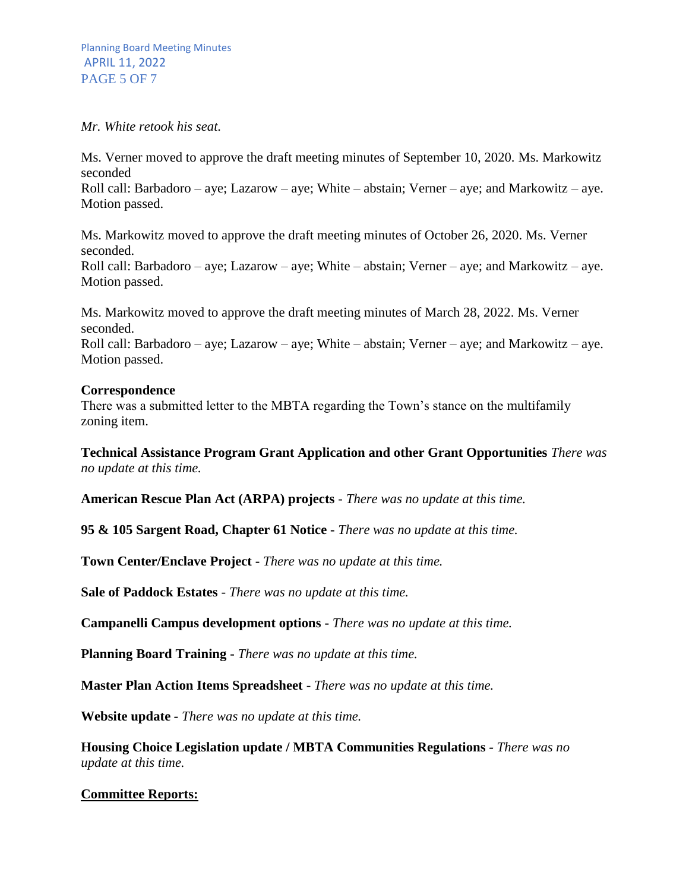#### *Mr. White retook his seat.*

Ms. Verner moved to approve the draft meeting minutes of September 10, 2020. Ms. Markowitz seconded Roll call: Barbadoro – aye; Lazarow – aye; White – abstain; Verner – aye; and Markowitz – aye. Motion passed.

Ms. Markowitz moved to approve the draft meeting minutes of October 26, 2020. Ms. Verner seconded.

Roll call: Barbadoro – aye; Lazarow – aye; White – abstain; Verner – aye; and Markowitz – aye. Motion passed.

Ms. Markowitz moved to approve the draft meeting minutes of March 28, 2022. Ms. Verner seconded. Roll call: Barbadoro – aye; Lazarow – aye; White – abstain; Verner – aye; and Markowitz – aye. Motion passed.

#### **Correspondence**

There was a submitted letter to the MBTA regarding the Town's stance on the multifamily zoning item.

**Technical Assistance Program Grant Application and other Grant Opportunities** *There was no update at this time.*

**American Rescue Plan Act (ARPA) projects** *- There was no update at this time.*

**95 & 105 Sargent Road, Chapter 61 Notice -** *There was no update at this time.*

**Town Center/Enclave Project -** *There was no update at this time.*

**Sale of Paddock Estates** *- There was no update at this time.*

**Campanelli Campus development options -** *There was no update at this time.*

**Planning Board Training -** *There was no update at this time.*

**Master Plan Action Items Spreadsheet** - *There was no update at this time.*

**Website update** *- There was no update at this time.*

**Housing Choice Legislation update / MBTA Communities Regulations** *- There was no update at this time.*

### **Committee Reports:**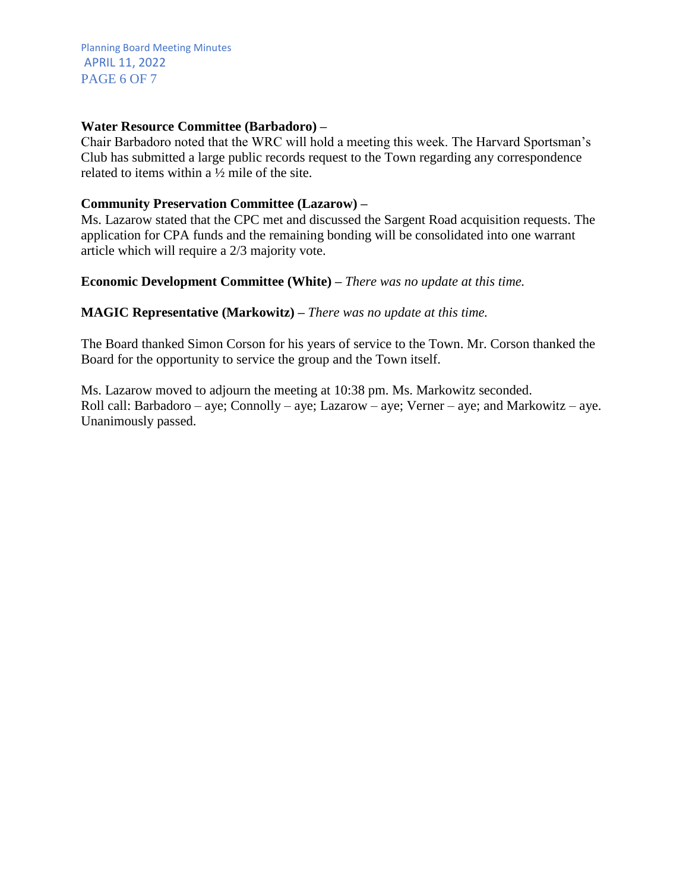Planning Board Meeting Minutes APRIL 11, 2022 PAGE 6 OF 7

## **Water Resource Committee (Barbadoro) –**

Chair Barbadoro noted that the WRC will hold a meeting this week. The Harvard Sportsman's Club has submitted a large public records request to the Town regarding any correspondence related to items within a ½ mile of the site.

## **Community Preservation Committee (Lazarow) –**

Ms. Lazarow stated that the CPC met and discussed the Sargent Road acquisition requests. The application for CPA funds and the remaining bonding will be consolidated into one warrant article which will require a 2/3 majority vote.

## **Economic Development Committee (White) –** *There was no update at this time.*

## **MAGIC Representative (Markowitz) –** *There was no update at this time.*

The Board thanked Simon Corson for his years of service to the Town. Mr. Corson thanked the Board for the opportunity to service the group and the Town itself.

Ms. Lazarow moved to adjourn the meeting at 10:38 pm. Ms. Markowitz seconded. Roll call: Barbadoro – aye; Connolly – aye; Lazarow – aye; Verner – aye; and Markowitz – aye. Unanimously passed.